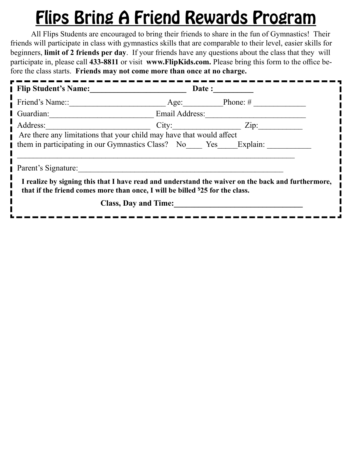## Flips Bring A Friend Rewards Program

All Flips Students are encouraged to bring their friends to share in the fun of Gymnastics! Their friends will participate in class with gymnastics skills that are comparable to their level, easier skills for beginners, **limit of 2 friends per day**. If your friends have any questions about the class that they will participate in, please call 433-8811 or visit www.FlipKids.com. Please bring this form to the office before the class starts. **Friends may not come more than once at no charge.**

| <b>Flip Student's Name:</b>                                                                                                                                                        |                       | Date:    |
|------------------------------------------------------------------------------------------------------------------------------------------------------------------------------------|-----------------------|----------|
| Friend's Name::                                                                                                                                                                    | Age:                  | Phone: # |
| Guardian:                                                                                                                                                                          | <b>Email Address:</b> |          |
| Address:                                                                                                                                                                           | City:                 | Zip:     |
| Are there any limitations that your child may have that would affect                                                                                                               |                       |          |
| them in participating in our Gymnastics Class? No Yes                                                                                                                              |                       | Explain: |
| Parent's Signature:                                                                                                                                                                |                       |          |
| I realize by signing this that I have read and understand the waiver on the back and furthermore,<br>that if the friend comes more than once, I will be billed \$25 for the class. |                       |          |
| <b>Class, Day and Time:</b>                                                                                                                                                        |                       |          |